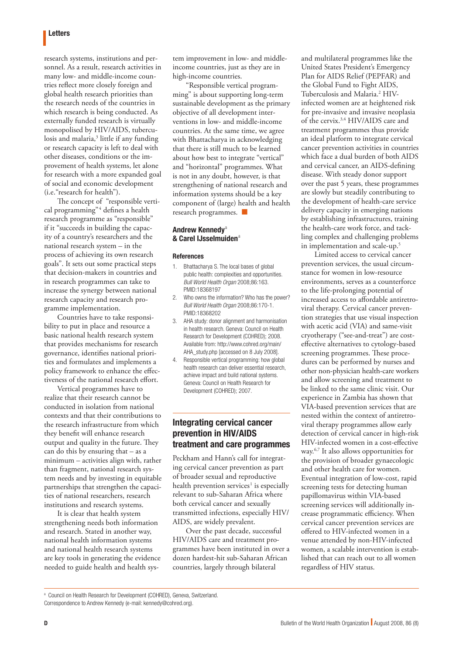### Letters

research systems, institutions and personnel. As a result, research activities in many low- and middle-income countries reflect more closely foreign and global health research priorities than the research needs of the countries in which research is being conducted. As externally funded research is virtually monopolised by HIV/AIDS, tuberculosis and malaria,<sup>3</sup> little if any funding or research capacity is left to deal with other diseases, conditions or the improvement of health systems, let alone for research with a more expanded goal of social and economic development (i.e."research for health").

The concept of "responsible vertical programming"<sup>4</sup> defines a health research programme as "responsible" if it "succeeds in building the capacity of a country's researchers and the national research system – in the process of achieving its own research goals". It sets out some practical steps that decision-makers in countries and in research programmes can take to increase the synergy between national research capacity and research programme implementation.

Countries have to take responsibility to put in place and resource a basic national health research system that provides mechanisms for research governance, identifies national priorities and formulates and implements a policy framework to enhance the effectiveness of the national research effort.

Vertical programmes have to realize that their research cannot be conducted in isolation from national contexts and that their contributions to the research infrastructure from which they benefit will enhance research output and quality in the future. They can do this by ensuring that – as a minimum – activities align with, rather than fragment, national research system needs and by investing in equitable partnerships that strengthen the capacities of national researchers, research institutions and research systems.

It is clear that health system strengthening needs both information and research. Stated in another way, national health information systems and national health research systems are key tools in generating the evidence needed to guide health and health system improvement in low- and middleincome countries, just as they are in high-income countries.

"Responsible vertical programming" is about supporting long-term sustainable development as the primary objective of all development interventions in low- and middle-income countries. At the same time, we agree with Bhattacharya in acknowledging that there is still much to be learned about how best to integrate "vertical" and "horizontal" programmes. What is not in any doubt, however, is that strengthening of national research and information systems should be a key component of (large) health and health research programmes. ■

### Andrew Kennedy<sup>a</sup> & Carel IJsselmuiden<sup>a</sup>

#### **References**

- 1. Bhattacharya S. The local bases of global public health: complexities and opportunities. *Bull World Health Organ* 2008;86:163. [PMID:18368197](http://www.ncbi.nlm.nih.gov/sites/entrez?cmd=Retrieve&db=PubMed&list_uids=18368197&dopt=Abstract)
- 2. Who owns the information? Who has the power? *Bull World Health Organ* 2008;86:170-1. [PMID:18368202](http://www.ncbi.nlm.nih.gov/sites/entrez?cmd=Retrieve&db=PubMed&list_uids=18368202&dopt=Abstract)
- 3. AHA study: donor alignment and harmonisation in health research. Geneva: Council on Health Research for Development (COHRED); 2008. Available from: [http://www.cohred.org/main/](http://www.cohred.org/main/AHA_study.php) [AHA\\_study.php](http://www.cohred.org/main/AHA_study.php) [accessed on 8 July 2008].
- 4. Responsible vertical programming: how global health research can deliver essential research, achieve impact and build national systems. Geneva: Council on Health Research for Development (COHRED); 2007.

## Integrating cervical cancer prevention in HIV/AIDS treatment and care programmes

Peckham and Hann's call for integrating cervical cancer prevention as part of broader sexual and reproductive health prevention services<sup>1</sup> is especially relevant to sub-Saharan Africa where both cervical cancer and sexually transmitted infections, especially HIV/ AIDS, are widely prevalent.

Over the past decade, successful HIV/AIDS care and treatment programmes have been instituted in over a dozen hardest-hit sub-Saharan African countries, largely through bilateral

and multilateral programmes like the United States President's Emergency Plan for AIDS Relief (PEPFAR) and the Global Fund to Fight AIDS, Tuberculosis and Malaria.2 HIVinfected women are at heightened risk for pre-invasive and invasive neoplasia of the cervix.3,4 HIV/AIDS care and treatment programmes thus provide an ideal platform to integrate cervical cancer prevention activities in countries which face a dual burden of both AIDS and cervical cancer, an AIDS-defining disease. With steady donor support over the past 5 years, these programmes are slowly but steadily contributing to the development of health-care service delivery capacity in emerging nations by establishing infrastructures, training the health-care work force, and tackling complex and challenging problems in implementation and scale-up.<sup>5</sup>

Limited access to cervical cancer prevention services, the usual circumstance for women in low-resource environments, serves as a counterforce to the life-prolonging potential of increased access to affordable antiretroviral therapy. Cervical cancer prevention strategies that use visual inspection with acetic acid (VIA) and same-visit cryotherapy ("see-and-treat") are costeffective alternatives to cytology-based screening programmes. These procedures can be performed by nurses and other non-physician health-care workers and allow screening and treatment to be linked to the same clinic visit. Our experience in Zambia has shown that VIA-based prevention services that are nested within the context of antiretroviral therapy programmes allow early detection of cervical cancer in high-risk HIV-infected women in a cost-effective way.6,7 It also allows opportunities for the provision of broader gynaecologic and other health care for women. Eventual integration of low-cost, rapid screening tests for detecting human papillomavirus within VIA-based screening services will additionally increase programmatic efficiency. When cervical cancer prevention services are offered to HIV-infected women in a venue attended by non-HIV-infected women, a scalable intervention is established that can reach out to all women regardless of HIV status.

a Council on Health Research for Development (COHRED), Geneva, Switzerland. Correspondence to Andrew Kennedy (e-mail: kennedy@cohred.org).